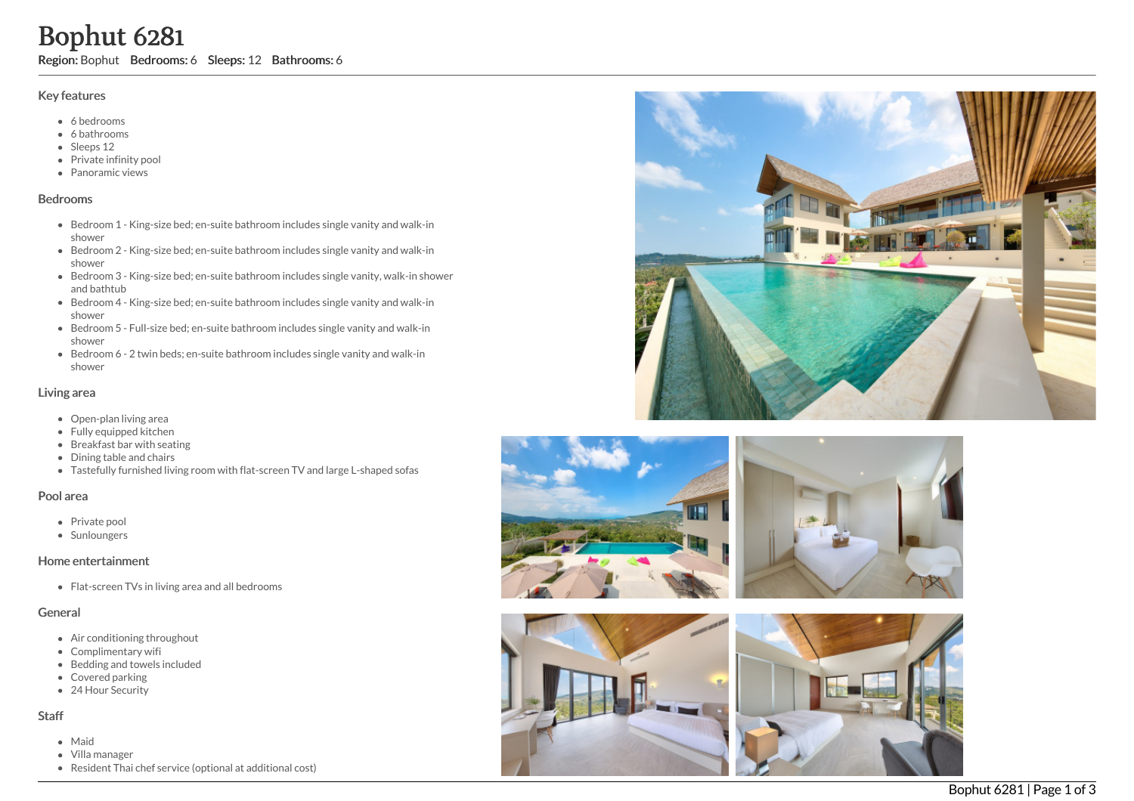# Bophut 6281

Region: Bophut Bedrooms: 6 Sleeps: 12 Bathrooms: 6

#### Key features

- 6 b e d r o o m s
- 6 bathrooms
- Sleeps 12
- Private infinity pool
- Panoramic views

#### **Bedrooms**

- Bedroom 1 King-size bed; en-suite bathroom includes single vanity and walk-in s h o w e r
- Bedroom 2 King-size bed; en-suite bathroom includes single vanity and walk-in s h o w e r
- Bedroom 3 King-size bed; en-suite bathroom includes single vanity, walk-in shower and bathtub
- Bedroom 4 King-size bed; en-suite bathroom includes single vanity and walk-in s h o w e r
- Bedroom 5 Full-size bed; en-suite bathroom includes single vanity and walk-in s h o w e r
- Bedroom 6 2 twin beds; en-suite bathroom includes single vanity and walk-in s h o w e r

## Living area

- Open-plan living area
- Fully equipped kitchen
- Breakfast bar with seating
- Dining table and chairs
- Tastefully furnished living room with flat-screen TV and large L-shaped sofas

### Pool area

- Private pool
- Sunloungers

### Home entertainment

Flat-screen TVs in living area and all bedrooms

### General

- Air conditioning throughout
- Complimentary wifi
- Bedding and towels included
- Covered parking
- 24 Hour Security

### S t a f f

- M aid
- Villa manager
- Resident Thai chef service (optional at additional cost)







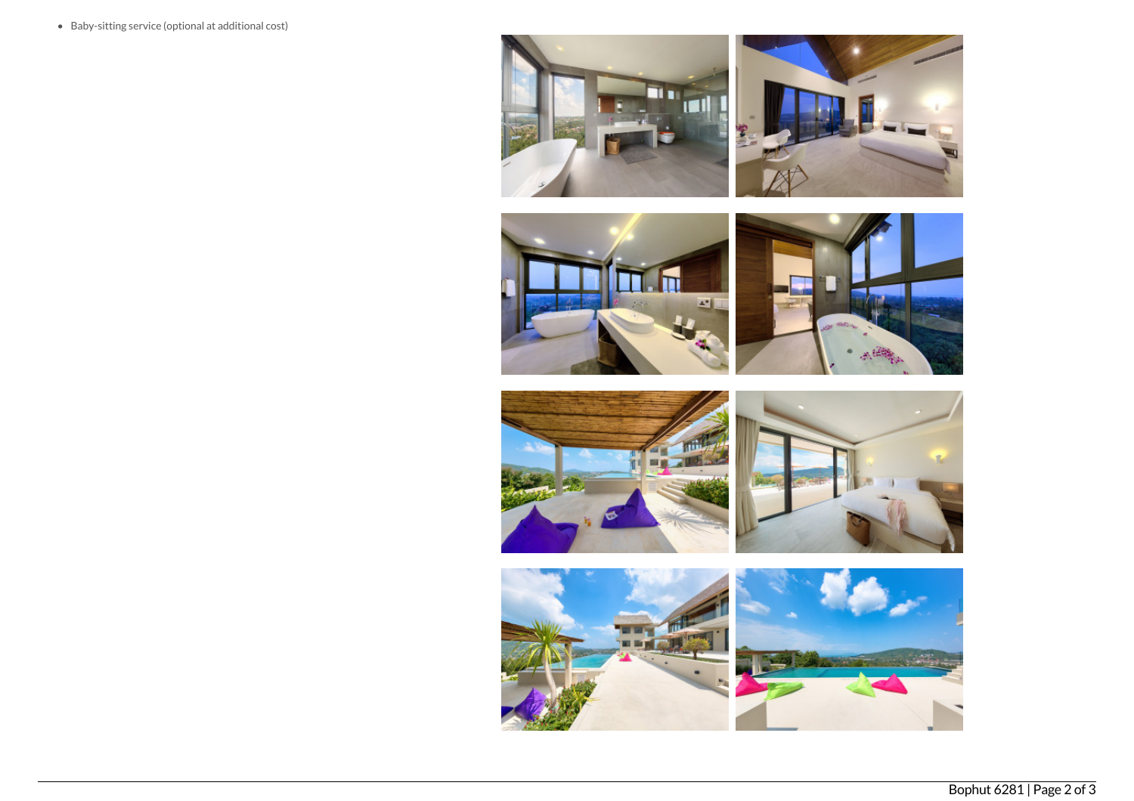